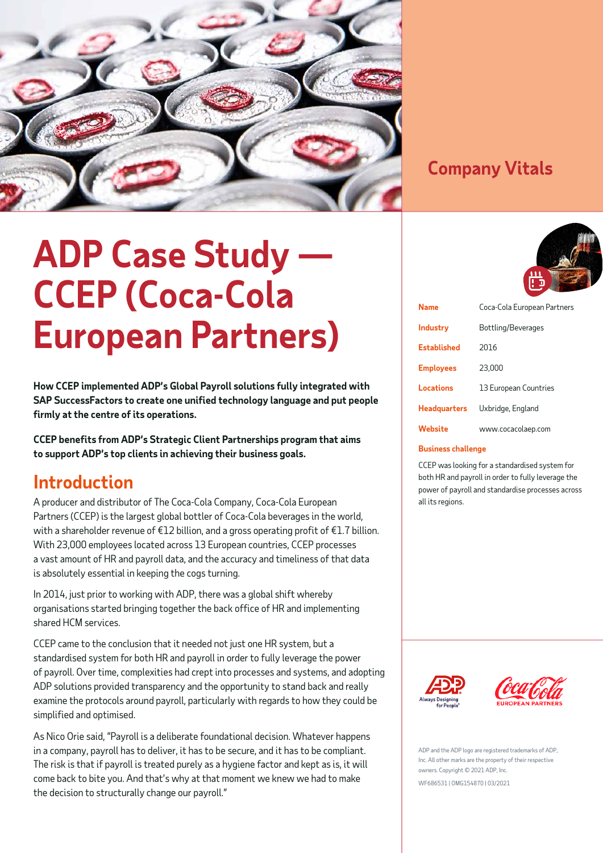

### **Company Vitals**

# **ADP Case Study — CCEP (Coca-Cola European Partners)**

**How CCEP implemented ADP's Global Payroll solutions fully integrated with SAP SuccessFactors to create one unified technology language and put people firmly at the centre of its operations.**

**CCEP benefits from ADP's Strategic Client Partnerships program that aims to support ADP's top clients in achieving their business goals.** 

### **Introduction**

A producer and distributor of The Coca-Cola Company, Coca-Cola European Partners (CCEP) is the largest global bottler of Coca-Cola beverages in the world, with a shareholder revenue of €12 billion, and a gross operating profit of €1.7 billion. With 23,000 employees located across 13 European countries, CCEP processes a vast amount of HR and payroll data, and the accuracy and timeliness of that data is absolutely essential in keeping the cogs turning.

In 2014, just prior to working with ADP, there was a global shift whereby organisations started bringing together the back office of HR and implementing shared HCM services.

CCEP came to the conclusion that it needed not just one HR system, but a standardised system for both HR and payroll in order to fully leverage the power of payroll. Over time, complexities had crept into processes and systems, and adopting ADP solutions provided transparency and the opportunity to stand back and really examine the protocols around payroll, particularly with regards to how they could be simplified and optimised.

As Nico Orie said, "Payroll is a deliberate foundational decision. Whatever happens in a company, payroll has to deliver, it has to be secure, and it has to be compliant. The risk is that if payroll is treated purely as a hygiene factor and kept as is, it will come back to bite you. And that's why at that moment we knew we had to make the decision to structurally change our payroll."



| <b>Name</b>         | Coca-Cola European Partners |
|---------------------|-----------------------------|
| <b>Industry</b>     | Bottling/Beverages          |
| <b>Established</b>  | 2016                        |
| <b>Employees</b>    | 23,000                      |
| Locations           | 13 European Countries       |
| <b>Headquarters</b> | Uxbridge, England           |
| Website             | www.cocacolaep.com          |

### **Business challenge**

CCEP was looking for a standardised system for both HR and payroll in order to fully leverage the power of payroll and standardise processes across all its regions.





ADP and the ADP logo are registered trademarks of ADP. Inc. All other marks are the property of their respective owners. Copyright © 2021 ADP, Inc. WF686531 | OMG154870 | 03/2021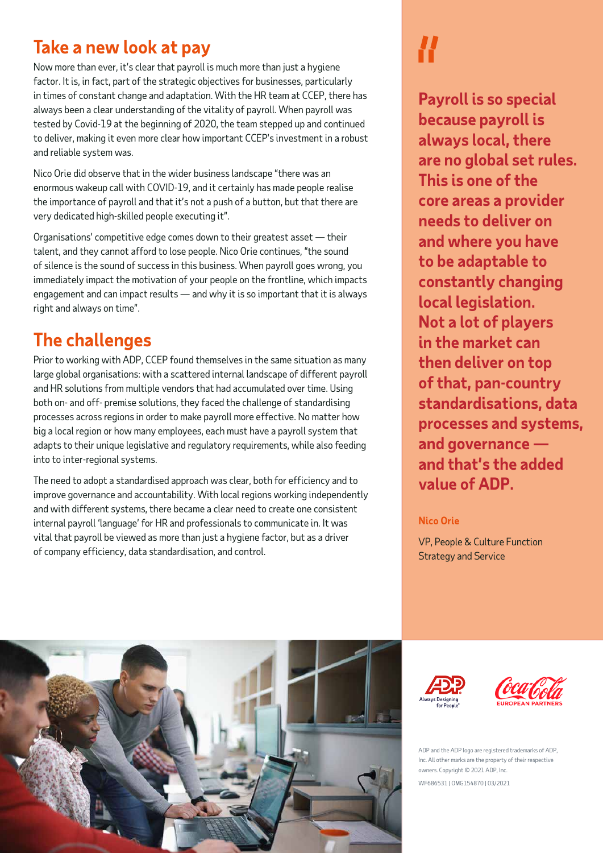### **Take a new look at pay**

Now more than ever, it's clear that payroll is much more than just a hygiene factor. It is, in fact, part of the strategic objectives for businesses, particularly in times of constant change and adaptation. With the HR team at CCEP, there has always been a clear understanding of the vitality of payroll. When payroll was tested by Covid-19 at the beginning of 2020, the team stepped up and continued to deliver, making it even more clear how important CCEP's investment in a robust and reliable system was.

Nico Orie did observe that in the wider business landscape "there was an enormous wakeup call with COVID-19, and it certainly has made people realise the importance of payroll and that it's not a push of a button, but that there are very dedicated high-skilled people executing it".

Organisations' competitive edge comes down to their greatest asset — their talent, and they cannot afford to lose people. Nico Orie continues, "the sound of silence is the sound of success in this business. When payroll goes wrong, you immediately impact the motivation of your people on the frontline, which impacts engagement and can impact results — and why it is so important that it is always right and always on time".

## **The challenges**

Prior to working with ADP, CCEP found themselves in the same situation as many large global organisations: with a scattered internal landscape of different payroll and HR solutions from multiple vendors that had accumulated over time. Using both on- and off- premise solutions, they faced the challenge of standardising processes across regions in order to make payroll more effective. No matter how big a local region or how many employees, each must have a payroll system that adapts to their unique legislative and regulatory requirements, while also feeding into to inter-regional systems.

The need to adopt a standardised approach was clear, both for efficiency and to improve governance and accountability. With local regions working independently and with different systems, there became a clear need to create one consistent internal payroll 'language' for HR and professionals to communicate in. It was vital that payroll be viewed as more than just a hygiene factor, but as a driver of company efficiency, data standardisation, and control.

**Payroll is so special because payroll is always local, there are no global set rules. This is one of the core areas a provider needs to deliver on and where you have to be adaptable to constantly changing local legislation. Not a lot of players in the market can then deliver on top of that, pan-country standardisations, data processes and systems, and governance and that's the added value of ADP.**

### **Nico Orie**

VP, People & Culture Function Strategy and Service







ADP and the ADP logo are registered trademarks of ADP, Inc. All other marks are the property of their respective owners. Copyright © 2021 ADP, Inc. WF686531 | OMG154870 | 03/2021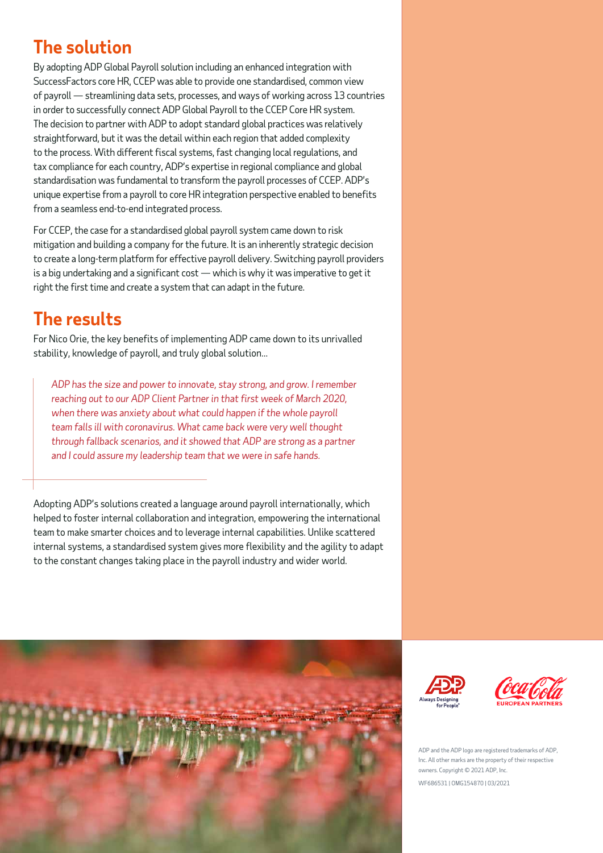## **The solution**

By adopting ADP Global Payroll solution including an enhanced integration with SuccessFactors core HR, CCEP was able to provide one standardised, common view of payroll — streamlining data sets, processes, and ways of working across 13 countries in order to successfully connect ADP Global Payroll to the CCEP Core HR system. The decision to partner with ADP to adopt standard global practices was relatively straightforward, but it was the detail within each region that added complexity to the process. With different fiscal systems, fast changing local regulations, and tax compliance for each country, ADP's expertise in regional compliance and global standardisation was fundamental to transform the payroll processes of CCEP. ADP's unique expertise from a payroll to core HR integration perspective enabled to benefits from a seamless end-to-end integrated process.

For CCEP, the case for a standardised global payroll system came down to risk mitigation and building a company for the future. It is an inherently strategic decision to create a long-term platform for effective payroll delivery. Switching payroll providers is a big undertaking and a significant cost — which is why it was imperative to get it right the first time and create a system that can adapt in the future.

# **The results**

For Nico Orie, the key benefits of implementing ADP came down to its unrivalled stability, knowledge of payroll, and truly global solution...

*ADP has the size and power to innovate, stay strong, and grow. I remember reaching out to our ADP Client Partner in that first week of March 2020, when there was anxiety about what could happen if the whole payroll team falls ill with coronavirus. What came back were very well thought through fallback scenarios, and it showed that ADP are strong as a partner and I could assure my leadership team that we were in safe hands.*

Adopting ADP's solutions created a language around payroll internationally, which helped to foster internal collaboration and integration, empowering the international team to make smarter choices and to leverage internal capabilities. Unlike scattered internal systems, a standardised system gives more flexibility and the agility to adapt to the constant changes taking place in the payroll industry and wider world.







ADP and the ADP logo are registered trademarks of ADP. Inc. All other marks are the property of their respective owners. Copyright © 2021 ADP, Inc. WF686531 | OMG154870 | 03/2021